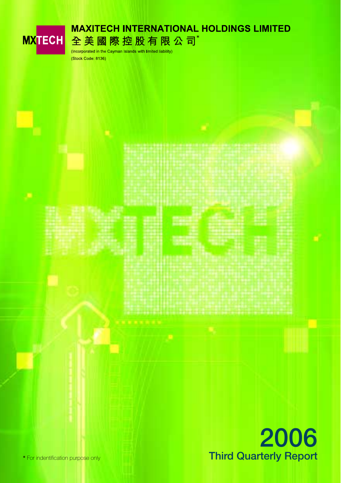

**\*** For indentification purpose only **Third Quarterly Report**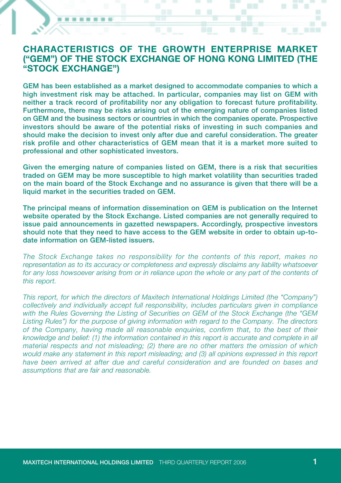### **CHARACTERISTICS OF THE GROWTH ENTERPRISE MARKET ("GEM") OF THE STOCK EXCHANGE OF HONG KONG LIMITED (THE "STOCK EXCHANGE")**

**GEM has been established as a market designed to accommodate companies to which a high investment risk may be attached. In particular, companies may list on GEM with neither a track record of profitability nor any obligation to forecast future profitability. Furthermore, there may be risks arising out of the emerging nature of companies listed on GEM and the business sectors or countries in which the companies operate. Prospective investors should be aware of the potential risks of investing in such companies and should make the decision to invest only after due and careful consideration. The greater risk profile and other characteristics of GEM mean that it is a market more suited to professional and other sophisticated investors.**

**Given the emerging nature of companies listed on GEM, there is a risk that securities traded on GEM may be more susceptible to high market volatility than securities traded on the main board of the Stock Exchange and no assurance is given that there will be a liquid market in the securities traded on GEM.**

**The principal means of information dissemination on GEM is publication on the Internet website operated by the Stock Exchange. Listed companies are not generally required to issue paid announcements in gazetted newspapers. Accordingly, prospective investors should note that they need to have access to the GEM website in order to obtain up-todate information on GEM-listed issuers.**

*The Stock Exchange takes no responsibility for the contents of this report, makes no representation as to its accuracy or completeness and expressly disclaims any liability whatsoever for any loss howsoever arising from or in reliance upon the whole or any part of the contents of this report.*

*This report, for which the directors of Maxitech International Holdings Limited (the "Company") collectively and individually accept full responsibility, includes particulars given in compliance with the Rules Governing the Listing of Securities on GEM of the Stock Exchange (the "GEM Listing Rules") for the purpose of giving information with regard to the Company. The directors of the Company, having made all reasonable enquiries, confirm that, to the best of their knowledge and belief: (1) the information contained in this report is accurate and complete in all material respects and not misleading; (2) there are no other matters the omission of which would make any statement in this report misleading; and (3) all opinions expressed in this report have been arrived at after due and careful consideration and are founded on bases and assumptions that are fair and reasonable.*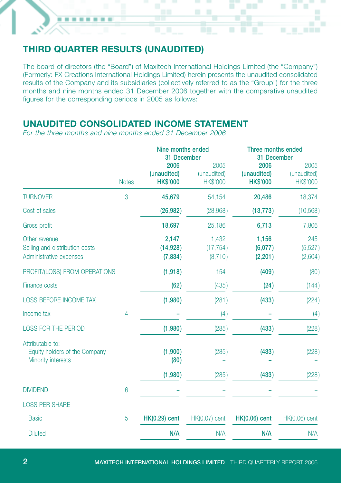# **THIRD QUARTER RESULTS (UNAUDITED)**

The board of directors (the "Board") of Maxitech International Holdings Limited (the "Company") (Formerly: FX Creations International Holdings Limited) herein presents the unaudited consolidated results of the Company and its subsidiaries (collectively referred to as the "Group") for the three months and nine months ended 31 December 2006 together with the comparative unaudited figures for the corresponding periods in 2005 as follows:

٠ 

## **UNAUDITED CONSOLIDATED INCOME STATEMENT**

*For the three months and nine months ended 31 December 2006*

|                                                                            |              | Nine months ended<br>31 December       |                                 | Three months ended<br>31 December      |                                        |  |
|----------------------------------------------------------------------------|--------------|----------------------------------------|---------------------------------|----------------------------------------|----------------------------------------|--|
|                                                                            | <b>Notes</b> | 2006<br>(unaudited)<br><b>HK\$'000</b> | 2005<br>(unaudited)<br>HK\$'000 | 2006<br>(unaudited)<br><b>HK\$'000</b> | 2005<br>(unaudited)<br><b>HK\$'000</b> |  |
| <b>TURNOVER</b>                                                            | 3            | 45,679                                 | 54,154                          | 20,486                                 | 18,374                                 |  |
| Cost of sales                                                              |              | (26, 982)                              | (28,968)                        | (13, 773)                              | (10, 568)                              |  |
| Gross profit                                                               |              | 18,697                                 | 25,186                          | 6,713                                  | 7,806                                  |  |
| Other revenue<br>Selling and distribution costs<br>Administrative expenses |              | 2,147<br>(14, 928)<br>(7,834)          | 1,432<br>(17, 754)<br>(8,710)   | 1,156<br>(6,077)<br>(2, 201)           | 245<br>(5, 527)<br>(2,604)             |  |
| PROFIT/(LOSS) FROM OPERATIONS                                              |              | (1,918)                                | 154                             | (409)                                  | (80)                                   |  |
| Finance costs                                                              |              | (62)                                   | (435)                           | (24)                                   | (144)                                  |  |
| <b>LOSS BEFORE INCOME TAX</b>                                              |              | (1,980)                                | (281)                           | (433)                                  | (224)                                  |  |
| Income tax                                                                 | 4            |                                        | (4)                             |                                        | (4)                                    |  |
| <b>LOSS FOR THE PERIOD</b>                                                 |              | (1,980)                                | (285)                           | (433)                                  | (228)                                  |  |
| Attributable to:<br>Equity holders of the Company<br>Minority interests    |              | (1,900)<br>(80)                        | (285)                           | (433)                                  | (228)                                  |  |
|                                                                            |              | (1,980)                                | (285)                           | (433)                                  | (228)                                  |  |
| <b>DIVIDEND</b>                                                            | 6            |                                        |                                 |                                        |                                        |  |
| <b>LOSS PER SHARE</b>                                                      |              |                                        |                                 |                                        |                                        |  |
| <b>Basic</b>                                                               | 5            | <b>HK(0.29)</b> cent                   | HK(0.07) cent                   | <b>HK(0.06)</b> cent                   | HK(0.06) cent                          |  |
| <b>Diluted</b>                                                             |              | N/A                                    | N/A                             | N/A                                    | N/A                                    |  |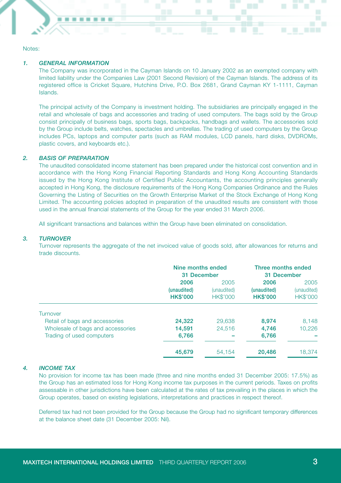Notes:

#### *1. GENERAL INFORMATION*

The Company was incorporated in the Cayman Islands on 10 January 2002 as an exempted company with limited liability under the Companies Law (2001 Second Revision) of the Cayman Islands. The address of its registered office is Cricket Square, Hutchins Drive, P.O. Box 2681, Grand Cayman KY 1-1111, Cayman Islands.

The principal activity of the Company is investment holding. The subsidiaries are principally engaged in the retail and wholesale of bags and accessories and trading of used computers. The bags sold by the Group consist principally of business bags, sports bags, backpacks, handbags and wallets. The accessories sold by the Group include belts, watches, spectacles and umbrellas. The trading of used computers by the Group includes PCs, laptops and computer parts (such as RAM modules, LCD panels, hard disks, DVDROMs, plastic covers, and keyboards etc.).

#### *2. BASIS OF PREPARATION*

The unaudited consolidated income statement has been prepared under the historical cost convention and in accordance with the Hong Kong Financial Reporting Standards and Hong Kong Accounting Standards issued by the Hong Kong Institute of Certified Public Accountants, the accounting principles generally accepted in Hong Kong, the disclosure requirements of the Hong Kong Companies Ordinance and the Rules Governing the Listing of Securities on the Growth Enterprise Market of the Stock Exchange of Hong Kong Limited. The accounting policies adopted in preparation of the unaudited results are consistent with those used in the annual financial statements of the Group for the year ended 31 March 2006.

All significant transactions and balances within the Group have been eliminated on consolidation.

#### *3. TURNOVER*

Turnover represents the aggregate of the net invoiced value of goods sold, after allowances for returns and trade discounts.

|                                   | Nine months ended<br>31 December       |                                        | Three months ended<br>31 December      |                                        |  |
|-----------------------------------|----------------------------------------|----------------------------------------|----------------------------------------|----------------------------------------|--|
|                                   | 2006<br>(unaudited)<br><b>HK\$'000</b> | 2005<br>(unaudited)<br><b>HK\$'000</b> | 2006<br>(unaudited)<br><b>HK\$'000</b> | 2005<br>(unaudited)<br><b>HK\$'000</b> |  |
| Turnover                          |                                        |                                        |                                        |                                        |  |
| Retail of bags and accessories    | 24,322                                 | 29.638                                 | 8.974                                  | 8.148                                  |  |
| Wholesale of bags and accessories | 14.591                                 | 24.516                                 | 4.746                                  | 10.226                                 |  |
| Trading of used computers         | 6.766                                  |                                        | 6,766                                  |                                        |  |
|                                   | 45,679                                 | 54.154                                 | 20,486                                 | 18.374                                 |  |

#### *4. INCOME TAX*

No provision for income tax has been made (three and nine months ended 31 December 2005: 17.5%) as the Group has an estimated loss for Hong Kong income tax purposes in the current periods. Taxes on profits assessable in other jurisdictions have been calculated at the rates of tax prevailing in the places in which the Group operates, based on existing legislations, interpretations and practices in respect thereof.

Deferred tax had not been provided for the Group because the Group had no significant temporary differences at the balance sheet date (31 December 2005: Nil).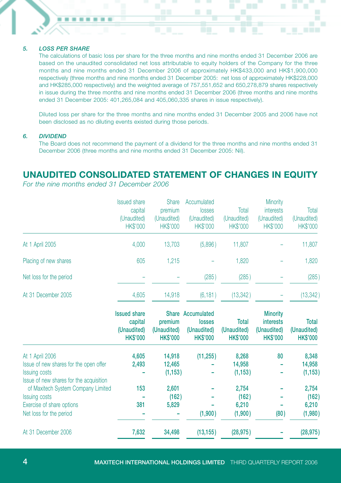#### *5. LOSS PER SHARE*

The calculations of basic loss per share for the three months and nine months ended 31 December 2006 are based on the unaudited consolidated net loss attributable to equity holders of the Company for the three months and nine months ended 31 December 2006 of approximately HK\$433,000 and HK\$1,900,000 respectively (three months and nine months ended 31 December 2005: net loss of approximately HK\$228,000 and HK\$285,000 respectively) and the weighted average of 757,551,652 and 650,278,879 shares respectively in issue during the three months and nine months ended 31 December 2006 (three months and nine months ended 31 December 2005: 401,265,084 and 405,060,335 shares in issue respectively).

Diluted loss per share for the three months and nine months ended 31 December 2005 and 2006 have not been disclosed as no diluting events existed during those periods.

#### *6. DIVIDEND*

The Board does not recommend the payment of a dividend for the three months and nine months ended 31 December 2006 (three months and nine months ended 31 December 2005: Nil).

### **UNAUDITED CONSOLIDATED STATEMENT OF CHANGES IN EQUITY**

*For the nine months ended 31 December 2006*

|                                                                                                                              | <b>Issued share</b><br>capital<br>(Unaudited)<br>HK\$'000        | <b>Share</b><br>premium<br>(Unaudited)<br><b>HK\$'000</b> | Accumulated<br>losses<br>(Unaudited)<br><b>HK\$'000</b> | Total<br>(Unaudited)<br><b>HK\$'000</b>        | Minority<br><b>interests</b><br>(Unaudited)<br><b>HK\$'000</b>        | Total<br>(Unaudited)<br>HK\$'000        |
|------------------------------------------------------------------------------------------------------------------------------|------------------------------------------------------------------|-----------------------------------------------------------|---------------------------------------------------------|------------------------------------------------|-----------------------------------------------------------------------|-----------------------------------------|
| At 1 April 2005                                                                                                              | 4,000                                                            | 13,703                                                    | (5,896)                                                 | 11,807                                         |                                                                       | 11,807                                  |
| Placing of new shares                                                                                                        | 605                                                              | 1,215                                                     |                                                         | 1,820                                          |                                                                       | 1,820                                   |
| Net loss for the period                                                                                                      |                                                                  |                                                           | (285)                                                   | (285)                                          |                                                                       | (285)                                   |
| At 31 December 2005                                                                                                          | 4,605                                                            | 14,918                                                    | (6, 181)                                                | (13, 342)                                      |                                                                       | (13, 342)                               |
|                                                                                                                              | <b>Issued share</b><br>capital<br>(Unaudited)<br><b>HK\$'000</b> | <b>Share</b><br>premium<br>(Unaudited)<br><b>HK\$'000</b> | Accumulated<br>losses<br>(Unaudited)<br><b>HK\$'000</b> | <b>Total</b><br>(Unaudited)<br><b>HK\$'000</b> | <b>Minority</b><br><b>interests</b><br>(Unaudited)<br><b>HK\$'000</b> | Total<br>(Unaudited)<br><b>HK\$'000</b> |
| At 1 April 2006<br>Issue of new shares for the open offer<br><b>Issuing costs</b><br>Issue of new shares for the acquisition | 4,605<br>2,493                                                   | 14,918<br>12,465<br>(1, 153)                              | (11, 255)                                               | 8,268<br>14,958<br>(1, 153)                    | 80                                                                    | 8,348<br>14,958<br>(1, 153)             |
| of Maxitech System Company Limited<br><b>Issuing costs</b><br>Exercise of share options                                      | 153<br>381                                                       | 2,601<br>(162)<br>5,829                                   |                                                         | 2,754<br>(162)<br>6,210                        |                                                                       | 2,754<br>(162)<br>6,210                 |
| Net loss for the period<br>At 31 December 2006                                                                               |                                                                  |                                                           | (1,900)                                                 | (1,900)                                        | (80)                                                                  | (1,980)                                 |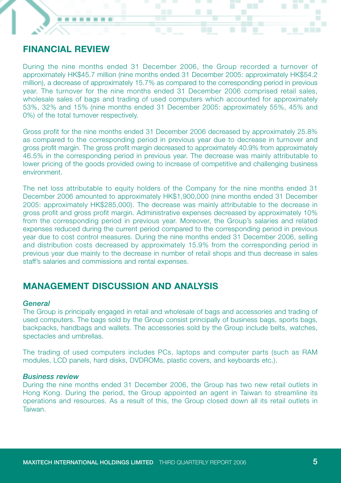## **FINANCIAL REVIEW**

During the nine months ended 31 December 2006, the Group recorded a turnover of approximately HK\$45.7 million (nine months ended 31 December 2005: approximately HK\$54.2 million), a decrease of approximately 15.7% as compared to the corresponding period in previous year. The turnover for the nine months ended 31 December 2006 comprised retail sales, wholesale sales of bags and trading of used computers which accounted for approximately 53%, 32% and 15% (nine months ended 31 December 2005: approximately 55%, 45% and 0%) of the total turnover respectively.

Gross profit for the nine months ended 31 December 2006 decreased by approximately 25.8% as compared to the corresponding period in previous year due to decrease in turnover and gross profit margin. The gross profit margin decreased to approximately 40.9% from approximately 46.5% in the corresponding period in previous year. The decrease was mainly attributable to lower pricing of the goods provided owing to increase of competitive and challenging business environment.

The net loss attributable to equity holders of the Company for the nine months ended 31 December 2006 amounted to approximately HK\$1,900,000 (nine months ended 31 December 2005: approximately HK\$285,000). The decrease was mainly attributable to the decrease in gross profit and gross profit margin. Administrative expenses decreased by approximately 10% from the corresponding period in previous year. Moreover, the Group's salaries and related expenses reduced during the current period compared to the corresponding period in previous year due to cost control measures. During the nine months ended 31 December 2006, selling and distribution costs decreased by approximately 15.9% from the corresponding period in previous year due mainly to the decrease in number of retail shops and thus decrease in sales staff's salaries and commissions and rental expenses.

### **MANAGEMENT DISCUSSION AND ANALYSIS**

### *General*

The Group is principally engaged in retail and wholesale of bags and accessories and trading of used computers. The bags sold by the Group consist principally of business bags, sports bags, backpacks, handbags and wallets. The accessories sold by the Group include belts, watches, spectacles and umbrellas.

The trading of used computers includes PCs, laptops and computer parts (such as RAM modules, LCD panels, hard disks, DVDROMs, plastic covers, and keyboards etc.).

### *Business review*

During the nine months ended 31 December 2006, the Group has two new retail outlets in Hong Kong. During the period, the Group appointed an agent in Taiwan to streamline its operations and resources. As a result of this, the Group closed down all its retail outlets in Taiwan.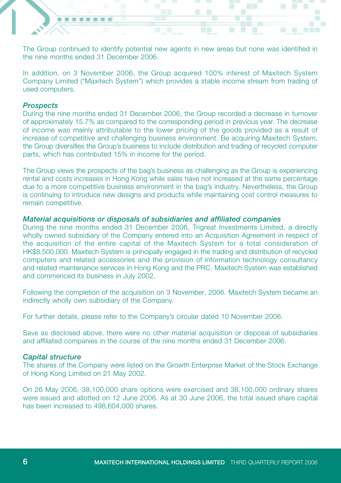The Group continued to identify potential new agents in new areas but none was identified in the nine months ended 31 December 2006.

In addition, on 3 November 2006, the Group acquired 100% interest of Maxitech System Company Limited ("Maxitech System") which provides a stable income stream from trading of used computers.

### *Prospects*

During the nine months ended 31 December 2006, the Group recorded a decrease in turnover of approximately 15.7% as compared to the corresponding period in previous year. The decrease of income was mainly attributable to the lower pricing of the goods provided as a result of increase of competitive and challenging business environment. Be acquiring Maxitech System, the Group diversifies the Group's business to include distribution and trading of recycled computer parts, which has contributed 15% in income for the period.

The Group views the prospects of the bag's business as challenging as the Group is experiencing rental and costs increases in Hong Kong while sales have not increased at the same percentage due to a more competitive business environment in the bag's industry. Nevertheless, the Group is continuing to introduce new designs and products while maintaining cost control measures to remain competitive.

### *Material acquisitions or disposals of subsidiaries and affiliated companies*

During the nine months ended 31 December 2006, Trigreat Investments Limited, a directly wholly owned subsidiary of the Company entered into an Acquisition Agreement in respect of the acquisition of the entire capital of the Maxitech System for a total consideration of HK\$8,500,000. Maxitech System is principally engaged in the trading and distribution of recycled computers and related accessories and the provision of information technology consultancy and related maintenance services in Hong Kong and the PRC. Maxitech System was established and commenced its business in July 2002.

Following the completion of the acquisition on 3 November, 2006. Maxitech System became an indirectly wholly own subsidiary of the Company.

For further details, please refer to the Company's circular dated 10 November 2006.

Save as disclosed above, there were no other material acquisition or disposal of subsidiaries and affiliated companies in the course of the nine months ended 31 December 2006.

#### *Capital structure*

The shares of the Company were listed on the Growth Enterprise Market of the Stock Exchange of Hong Kong Limited on 21 May 2002.

On 26 May 2006, 38,100,000 share options were exercised and 38,100,000 ordinary shares were issued and allotted on 12 June 2006. As at 30 June 2006, the total issued share capital has been increased to 498,604,000 shares.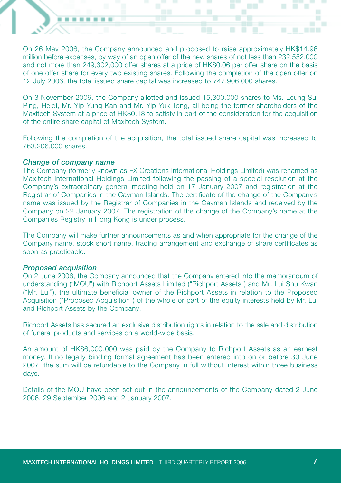On 26 May 2006, the Company announced and proposed to raise approximately HK\$14.96 million before expenses, by way of an open offer of the new shares of not less than 232,552,000 and not more than 249,302,000 offer shares at a price of HK\$0.06 per offer share on the basis of one offer share for every two existing shares. Following the completion of the open offer on 12 July 2006, the total issued share capital was increased to 747,906,000 shares.

On 3 November 2006, the Company allotted and issued 15,300,000 shares to Ms. Leung Sui Ping, Heidi, Mr. Yip Yung Kan and Mr. Yip Yuk Tong, all being the former shareholders of the Maxitech System at a price of HK\$0.18 to satisfy in part of the consideration for the acquisition of the entire share capital of Maxitech System.

Following the completion of the acquisition, the total issued share capital was increased to 763,206,000 shares.

#### *Change of company name*

The Company (formerly known as FX Creations International Holdings Limited) was renamed as Maxitech International Holdings Limited following the passing of a special resolution at the Company's extraordinary general meeting held on 17 January 2007 and registration at the Registrar of Companies in the Cayman Islands. The certificate of the change of the Company's name was issued by the Registrar of Companies in the Cayman Islands and received by the Company on 22 January 2007. The registration of the change of the Company's name at the Companies Registry in Hong Kong is under process.

The Company will make further announcements as and when appropriate for the change of the Company name, stock short name, trading arrangement and exchange of share certificates as soon as practicable.

### *Proposed acquisition*

On 2 June 2006, the Company announced that the Company entered into the memorandum of understanding ("MOU") with Richport Assets Limited ("Richport Assets") and Mr. Lui Shu Kwan ("Mr. Lui"), the ultimate beneficial owner of the Richport Assets in relation to the Proposed Acquisition ("Proposed Acquisition") of the whole or part of the equity interests held by Mr. Lui and Richport Assets by the Company.

Richport Assets has secured an exclusive distribution rights in relation to the sale and distribution of funeral products and services on a world-wide basis.

An amount of HK\$6,000,000 was paid by the Company to Richport Assets as an earnest money. If no legally binding formal agreement has been entered into on or before 30 June 2007, the sum will be refundable to the Company in full without interest within three business days.

Details of the MOU have been set out in the announcements of the Company dated 2 June 2006, 29 September 2006 and 2 January 2007.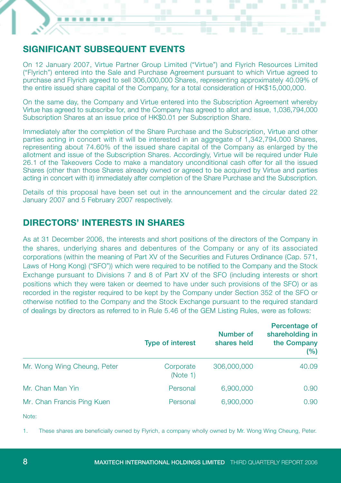# **SIGNIFICANT SUBSEQUENT EVENTS**

. . .

. . . .

On 12 January 2007, Virtue Partner Group Limited ("Virtue") and Flyrich Resources Limited ("Flyrich") entered into the Sale and Purchase Agreement pursuant to which Virtue agreed to purchase and Flyrich agreed to sell 306,000,000 Shares, representing approximately 40.09% of the entire issued share capital of the Company, for a total consideration of HK\$15,000,000.

On the same day, the Company and Virtue entered into the Subscription Agreement whereby Virtue has agreed to subscribe for, and the Company has agreed to allot and issue, 1,036,794,000 Subscription Shares at an issue price of HK\$0.01 per Subscription Share.

Immediately after the completion of the Share Purchase and the Subscription, Virtue and other parties acting in concert with it will be interested in an aggregate of 1,342,794,000 Shares, representing about 74.60% of the issued share capital of the Company as enlarged by the allotment and issue of the Subscription Shares. Accordingly, Virtue will be required under Rule 26.1 of the Takeovers Code to make a mandatory unconditional cash offer for all the issued Shares (other than those Shares already owned or agreed to be acquired by Virtue and parties acting in concert with it) immediately after completion of the Share Purchase and the Subscription.

Details of this proposal have been set out in the announcement and the circular dated 22 January 2007 and 5 February 2007 respectively.

## **DIRECTORS' INTERESTS IN SHARES**

As at 31 December 2006, the interests and short positions of the directors of the Company in the shares, underlying shares and debentures of the Company or any of its associated corporations (within the meaning of Part XV of the Securities and Futures Ordinance (Cap. 571, Laws of Hong Kong) ("SFO")) which were required to be notified to the Company and the Stock Exchange pursuant to Divisions 7 and 8 of Part XV of the SFO (including interests or short positions which they were taken or deemed to have under such provisions of the SFO) or as recorded in the register required to be kept by the Company under Section 352 of the SFO or otherwise notified to the Company and the Stock Exchange pursuant to the required standard of dealings by directors as referred to in Rule 5.46 of the GEM Listing Rules, were as follows:

|                             | <b>Type of interest</b> | Number of<br>shares held | Percentage of<br>shareholding in<br>the Company<br>(%) |  |
|-----------------------------|-------------------------|--------------------------|--------------------------------------------------------|--|
| Mr. Wong Wing Cheung, Peter | Corporate<br>(Note 1)   | 306,000,000              | 40.09                                                  |  |
| Mr. Chan Man Yin            | Personal                | 6,900,000                | 0.90                                                   |  |
| Mr. Chan Francis Ping Kuen  | Personal                | 6,900,000                | 0.90                                                   |  |

Note:

1. These shares are beneficially owned by Flyrich, a company wholly owned by Mr. Wong Wing Cheung, Peter.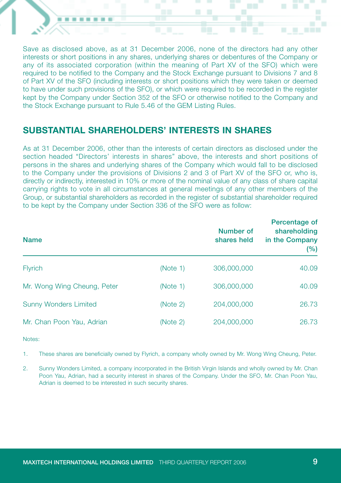Save as disclosed above, as at 31 December 2006, none of the directors had any other interests or short positions in any shares, underlying shares or debentures of the Company or any of its associated corporation (within the meaning of Part XV of the SFO) which were required to be notified to the Company and the Stock Exchange pursuant to Divisions 7 and 8 of Part XV of the SFO (including interests or short positions which they were taken or deemed to have under such provisions of the SFO), or which were required to be recorded in the register kept by the Company under Section 352 of the SFO or otherwise notified to the Company and the Stock Exchange pursuant to Rule 5.46 of the GEM Listing Rules.

### **SUBSTANTIAL SHAREHOLDERS' INTERESTS IN SHARES**

As at 31 December 2006, other than the interests of certain directors as disclosed under the section headed "Directors' interests in shares" above, the interests and short positions of persons in the shares and underlying shares of the Company which would fall to be disclosed to the Company under the provisions of Divisions 2 and 3 of Part XV of the SFO or, who is, directly or indirectly, interested in 10% or more of the nominal value of any class of share capital carrying rights to vote in all circumstances at general meetings of any other members of the Group, or substantial shareholders as recorded in the register of substantial shareholder required to be kept by the Company under Section 336 of the SFO were as follow:

| <b>Name</b>                  |          | Number of<br>shares held | Percentage of<br>shareholding<br>in the Company<br>(%) |
|------------------------------|----------|--------------------------|--------------------------------------------------------|
| <b>Flyrich</b>               | (Note 1) | 306,000,000              | 40.09                                                  |
| Mr. Wong Wing Cheung, Peter  | (Note 1) | 306,000,000              | 40.09                                                  |
| <b>Sunny Wonders Limited</b> | (Note 2) | 204,000,000              | 26.73                                                  |
| Mr. Chan Poon Yau, Adrian    | (Note 2) | 204,000,000              | 26.73                                                  |

Notes:

- 1. These shares are beneficially owned by Flyrich, a company wholly owned by Mr. Wong Wing Cheung, Peter.
- 2. Sunny Wonders Limited, a company incorporated in the British Virgin Islands and wholly owned by Mr. Chan Poon Yau, Adrian, had a security interest in shares of the Company. Under the SFO, Mr. Chan Poon Yau, Adrian is deemed to be interested in such security shares.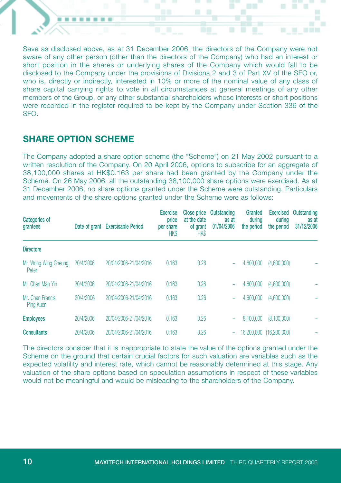Save as disclosed above, as at 31 December 2006, the directors of the Company were not aware of any other person (other than the directors of the Company) who had an interest or short position in the shares or underlying shares of the Company which would fall to be disclosed to the Company under the provisions of Divisions 2 and 3 of Part XV of the SFO or, who is, directly or indirectly, interested in 10% or more of the nominal value of any class of share capital carrying rights to vote in all circumstances at general meetings of any other members of the Group, or any other substantial shareholders whose interests or short positions were recorded in the register required to be kept by the Company under Section 336 of the SFO.

# **SHARE OPTION SCHEME**

The Company adopted a share option scheme (the "Scheme") on 21 May 2002 pursuant to a written resolution of the Company. On 20 April 2006, options to subscribe for an aggregate of 38,100,000 shares at HK\$0.163 per share had been granted by the Company under the Scheme. On 26 May 2006, all the outstanding 38,100,000 share options were exercised. As at 31 December 2006, no share options granted under the Scheme were outstanding. Particulars and movements of the share options granted under the Scheme were as follows:

| Categories of<br>grantees      |           | Date of grant Exercisable Period | <b>Exercise</b><br>price<br>per share<br><b>HK\$</b> | Close price<br>at the date<br>of grant<br><b>HK\$</b> | Outstanding<br>as at<br>01/04/2006 | Granted<br>durina<br>the period | <b>Exercised</b><br>during<br>the period | Outstanding<br>as at<br>31/12/2006 |
|--------------------------------|-----------|----------------------------------|------------------------------------------------------|-------------------------------------------------------|------------------------------------|---------------------------------|------------------------------------------|------------------------------------|
| <b>Directors</b>               |           |                                  |                                                      |                                                       |                                    |                                 |                                          |                                    |
| Mr. Wong Wing Cheung.<br>Peter | 20/4/2006 | 20/04/2006-21/04/2016            | 0.163                                                | 0.26                                                  | -                                  | 4,600,000                       | (4,600,000)                              |                                    |
| Mr. Chan Man Yin               | 20/4/2006 | 20/04/2006-21/04/2016            | 0.163                                                | 0.26                                                  | -                                  | 4.600,000                       | (4,600,000)                              |                                    |
| Mr. Chan Francis<br>Ping Kuen  | 20/4/2006 | 20/04/2006-21/04/2016            | 0.163                                                | 0.26                                                  | ۰                                  | 4,600,000                       | (4,600,000)                              |                                    |
| <b>Employees</b>               | 20/4/2006 | 20/04/2006-21/04/2016            | 0.163                                                | 0.26                                                  | -                                  | 8.100,000                       | (8,100,000)                              |                                    |
| <b>Consultants</b>             | 20/4/2006 | 20/04/2006-21/04/2016            | 0.163                                                | 0.26                                                  | ۰                                  | 16,200,000                      | (16, 200, 000)                           |                                    |

The directors consider that it is inappropriate to state the value of the options granted under the Scheme on the ground that certain crucial factors for such valuation are variables such as the expected volatility and interest rate, which cannot be reasonably determined at this stage. Any valuation of the share options based on speculation assumptions in respect of these variables would not be meaningful and would be misleading to the shareholders of the Company.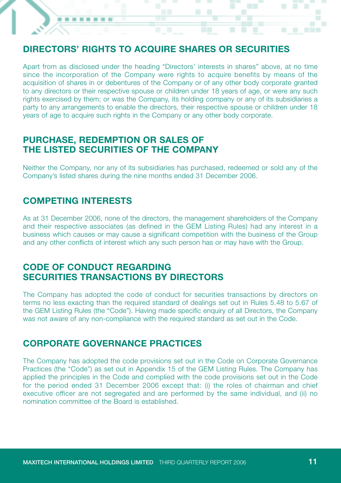# **DIRECTORS' RIGHTS TO ACQUIRE SHARES OR SECURITIES**

Apart from as disclosed under the heading "Directors' interests in shares" above, at no time since the incorporation of the Company were rights to acquire benefits by means of the acquisition of shares in or debentures of the Company or of any other body corporate granted to any directors or their respective spouse or children under 18 years of age, or were any such rights exercised by them; or was the Company, its holding company or any of its subsidiaries a party to any arrangements to enable the directors, their respective spouse or children under 18 years of age to acquire such rights in the Company or any other body corporate.

### **PURCHASE, REDEMPTION OR SALES OF THE LISTED SECURITIES OF THE COMPANY**

Neither the Company, nor any of its subsidiaries has purchased, redeemed or sold any of the Company's listed shares during the nine months ended 31 December 2006.

## **COMPETING INTERESTS**

As at 31 December 2006, none of the directors, the management shareholders of the Company and their respective associates (as defined in the GEM Listing Rules) had any interest in a business which causes or may cause a significant competition with the business of the Group and any other conflicts of interest which any such person has or may have with the Group.

### **CODE OF CONDUCT REGARDING SECURITIES TRANSACTIONS BY DIRECTORS**

The Company has adopted the code of conduct for securities transactions by directors on terms no less exacting than the required standard of dealings set out in Rules 5.48 to 5.67 of the GEM Listing Rules (the "Code"). Having made specific enquiry of all Directors, the Company was not aware of any non-compliance with the required standard as set out in the Code.

### **CORPORATE GOVERNANCE PRACTICES**

The Company has adopted the code provisions set out in the Code on Corporate Governance Practices (the "Code") as set out in Appendix 15 of the GEM Listing Rules. The Company has applied the principles in the Code and complied with the code provisions set out in the Code for the period ended 31 December 2006 except that: (i) the roles of chairman and chief executive officer are not segregated and are performed by the same individual, and (ii) no nomination committee of the Board is established.